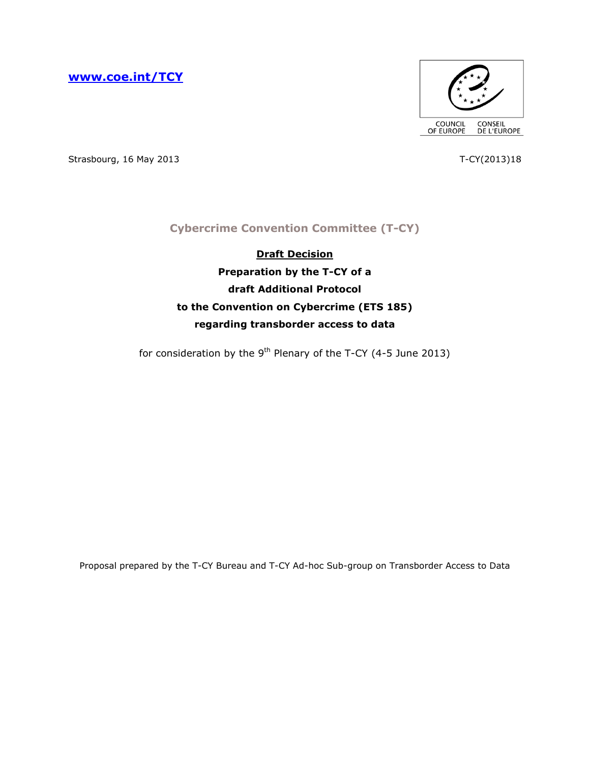**[www.coe.int/TCY](http://www.coe.int/TCY)**



Strasbourg, 16 May 2013 18

# **Cybercrime Convention Committee (T-CY)**

**Draft Decision Preparation by the T-CY of a draft Additional Protocol to the Convention on Cybercrime (ETS 185) regarding transborder access to data**

for consideration by the  $9<sup>th</sup>$  Plenary of the T-CY (4-5 June 2013)

Proposal prepared by the T-CY Bureau and T-CY Ad-hoc Sub-group on Transborder Access to Data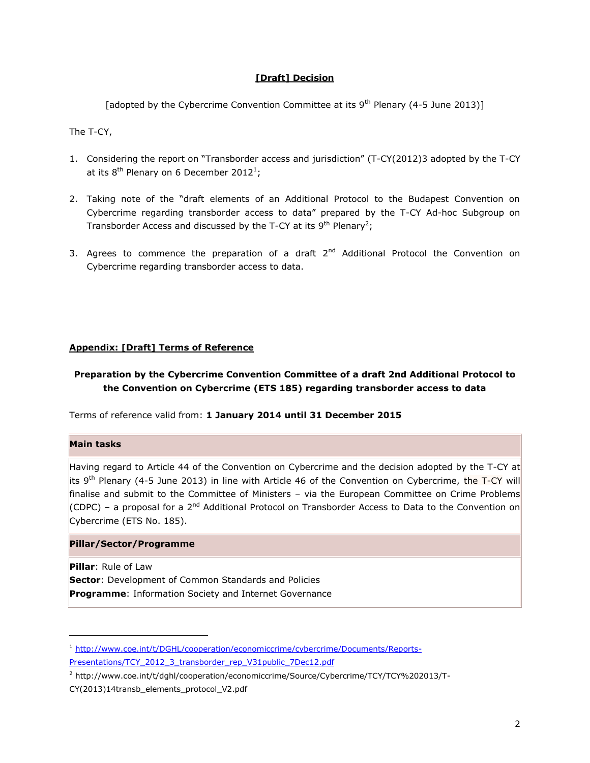## **[Draft] Decision**

[adopted by the Cybercrime Convention Committee at its  $9<sup>th</sup>$  Plenary (4-5 June 2013)]

The T-CY,

- 1. Considering the report on "Transborder access and jurisdiction" (T-CY(2012)3 adopted by the T-CY at its  $8^{th}$  Plenary on 6 December 2012<sup>1</sup>;
- 2. Taking note of the "draft elements of an Additional Protocol to the Budapest Convention on Cybercrime regarding transborder access to data" prepared by the T-CY Ad-hoc Subgroup on Transborder Access and discussed by the T-CY at its 9<sup>th</sup> Plenary<sup>2</sup>;
- 3. Agrees to commence the preparation of a draft  $2<sup>nd</sup>$  Additional Protocol the Convention on Cybercrime regarding transborder access to data.

#### **Appendix: [Draft] Terms of Reference**

# **Preparation by the Cybercrime Convention Committee of a draft 2nd Additional Protocol to the Convention on Cybercrime (ETS 185) regarding transborder access to data**

Terms of reference valid from: **1 January 2014 until 31 December 2015**

## **Main tasks**

ł

Having regard to Article 44 of the Convention on Cybercrime and the decision adopted by the T-CY at its 9<sup>th</sup> Plenary (4-5 June 2013) in line with Article 46 of the Convention on Cybercrime, the T-CY will finalise and submit to the Committee of Ministers - via the European Committee on Crime Problems (CDPC) – a proposal for a 2<sup>nd</sup> Additional Protocol on Transborder Access to Data to the Convention on Cybercrime (ETS No. 185).

#### **Pillar/Sector/Programme**

**Pillar**: Rule of Law **Sector**: Development of Common Standards and Policies **Programme**: Information Society and Internet Governance

<sup>1</sup> [http://www.coe.int/t/DGHL/cooperation/economiccrime/cybercrime/Documents/Reports-](http://www.coe.int/t/DGHL/cooperation/economiccrime/cybercrime/Documents/Reports-Presentations/TCY_2012_3_transborder_rep_V31public_7Dec12.pdf)[Presentations/TCY\\_2012\\_3\\_transborder\\_rep\\_V31public\\_7Dec12.pdf](http://www.coe.int/t/DGHL/cooperation/economiccrime/cybercrime/Documents/Reports-Presentations/TCY_2012_3_transborder_rep_V31public_7Dec12.pdf)

<sup>2</sup> http://www.coe.int/t/dghl/cooperation/economiccrime/Source/Cybercrime/TCY/TCY%202013/T-

CY(2013)14transb\_elements\_protocol\_V2.pdf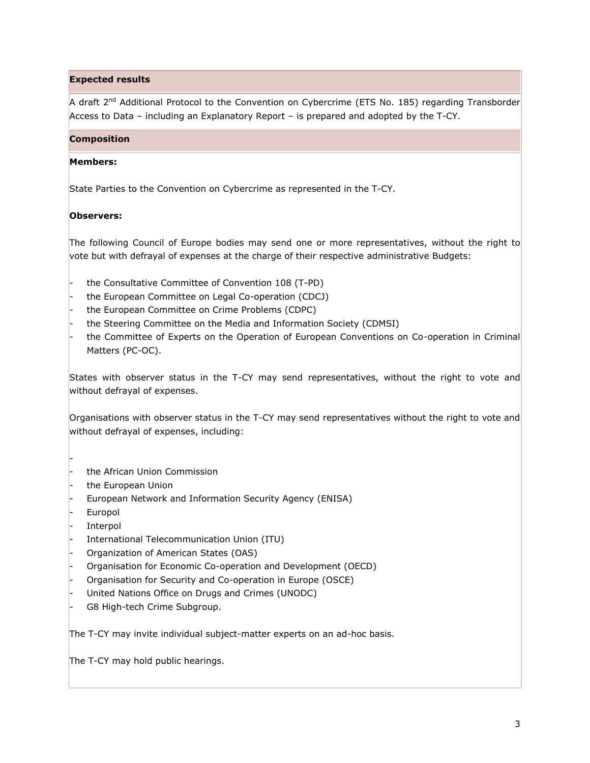# **Expected results**

A draft 2<sup>nd</sup> Additional Protocol to the Convention on Cybercrime (ETS No. 185) regarding Transborder Access to Data - including an Explanatory Report - is prepared and adopted by the T-CY.

## **Composition**

# **Members:**

State Parties to the Convention on Cybercrime as represented in the T-CY.

# **Observers:**

The following Council of Europe bodies may send one or more representatives, without the right to vote but with defrayal of expenses at the charge of their respective administrative Budgets:

- the Consultative Committee of Convention 108 (T-PD)
- the European Committee on Legal Co-operation (CDCJ)
- the European Committee on Crime Problems (CDPC)
- the Steering Committee on the Media and Information Society (CDMSI)
- the Committee of Experts on the Operation of European Conventions on Co-operation in Criminal Matters (PC-OC).

States with observer status in the T-CY may send representatives, without the right to vote and without defrayal of expenses.

Organisations with observer status in the T-CY may send representatives without the right to vote and without defrayal of expenses, including:

- the African Union Commission
- the European Union
- European Network and Information Security Agency (ENISA)
- **Europol**

-

- **Interpol**
- International Telecommunication Union (ITU)
- Organization of American States (OAS)
- Organisation for Economic Co-operation and Development (OECD)
- Organisation for Security and Co-operation in Europe (OSCE)
- United Nations Office on Drugs and Crimes (UNODC)
- G8 High-tech Crime Subgroup.

The T-CY may invite individual subject-matter experts on an ad-hoc basis.

The T-CY may hold public hearings.